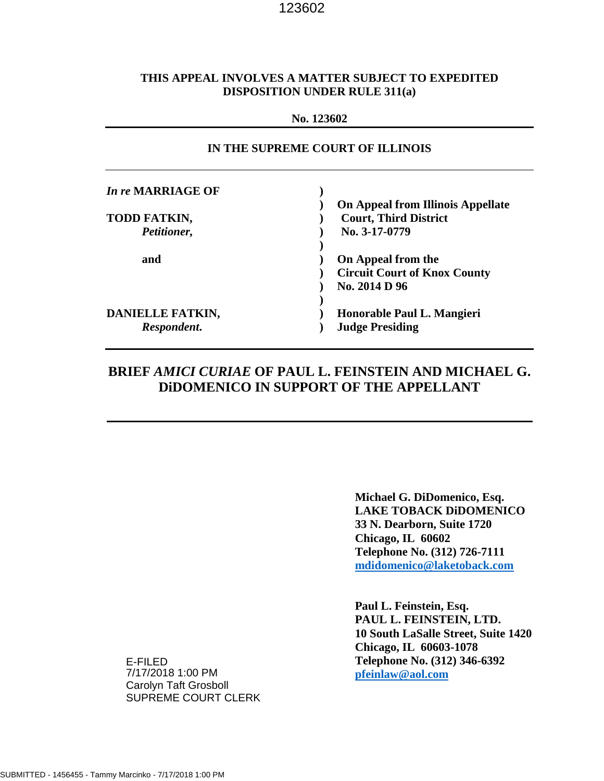#### **THIS APPEAL INVOLVES A MATTER SUBJECT TO EXPEDITED DISPOSITION UNDER RULE 311(a)**

#### **No. 123602**

| IN THE SUPREME COURT OF ILLINOIS |                                          |  |
|----------------------------------|------------------------------------------|--|
| In re MARRIAGE OF                |                                          |  |
|                                  | <b>On Appeal from Illinois Appellate</b> |  |
| <b>TODD FATKIN,</b>              | <b>Court, Third District</b>             |  |
| Petitioner,                      | No. 3-17-0779                            |  |
|                                  |                                          |  |
| and                              | On Appeal from the                       |  |
|                                  | <b>Circuit Court of Knox County</b>      |  |
|                                  | No. 2014 D 96                            |  |
| DANIELLE FATKIN,                 | Honorable Paul L. Mangieri               |  |
|                                  |                                          |  |
| Respondent.                      | <b>Judge Presiding</b>                   |  |

## **BRIEF** *AMICI CURIAE* **OF PAUL L. FEINSTEIN AND MICHAEL G. DiDOMENICO IN SUPPORT OF THE APPELLANT**

 **Michael G. DiDomenico, Esq. LAKE TOBACK DiDOMENICO 33 N. Dearborn, Suite 1720 Chicago, IL 60602 Telephone No. (312) 726-7111 [mdidomenico@laketoback.com](mailto:mdidomenico@laketoback.com)**

 **Paul L. Feinstein, Esq. PAUL L. FEINSTEIN, LTD. 10 South LaSalle Street, Suite 1420 Chicago, IL 60603-1078 Telephone No. (312) 346-6392 [pfeinlaw@aol.com](mailto:pfeinlaw@aol.com)**

E-FILED 7/17/2018 1:00 PM Carolyn Taft Grosboll SUPREME COURT CLERK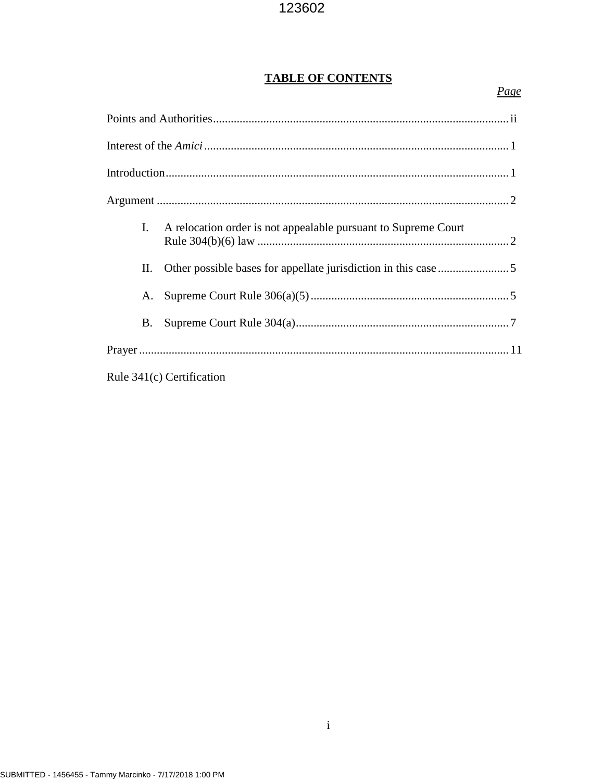# **TABLE OF CONTENTS**

| L. | A relocation order is not appealable pursuant to Supreme Court |  |
|----|----------------------------------------------------------------|--|
| П. |                                                                |  |
| А. |                                                                |  |
| B. |                                                                |  |
|    |                                                                |  |
|    | Rule 341(c) Certification                                      |  |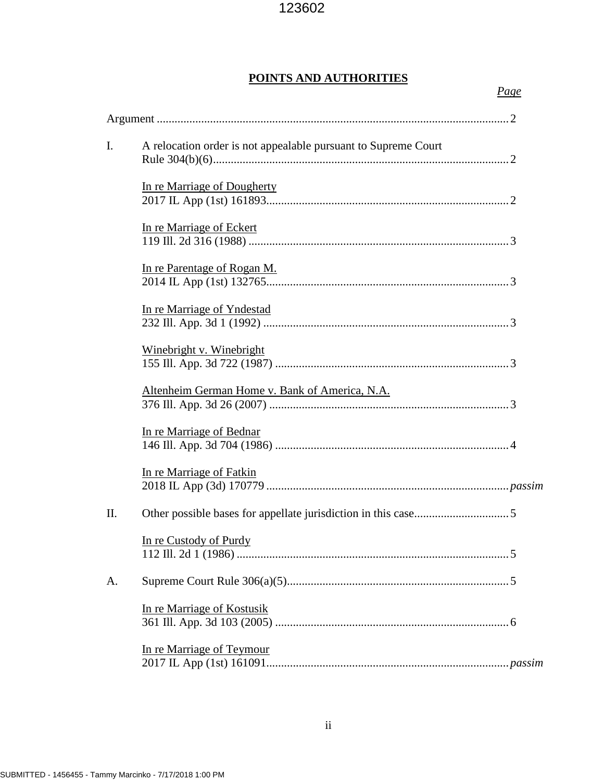# **POINTS AND AUTHORITIES**

| I. | A relocation order is not appealable pursuant to Supreme Court |
|----|----------------------------------------------------------------|
|    | In re Marriage of Dougherty                                    |
|    | In re Marriage of Eckert                                       |
|    | In re Parentage of Rogan M.                                    |
|    | In re Marriage of Yndestad                                     |
|    | Winebright v. Winebright                                       |
|    | Altenheim German Home v. Bank of America, N.A.                 |
|    | In re Marriage of Bednar                                       |
|    | In re Marriage of Fatkin                                       |
| Π. |                                                                |
|    | In re Custody of Purdy                                         |
| A. |                                                                |
|    | In re Marriage of Kostusik                                     |
|    | In re Marriage of Teymour                                      |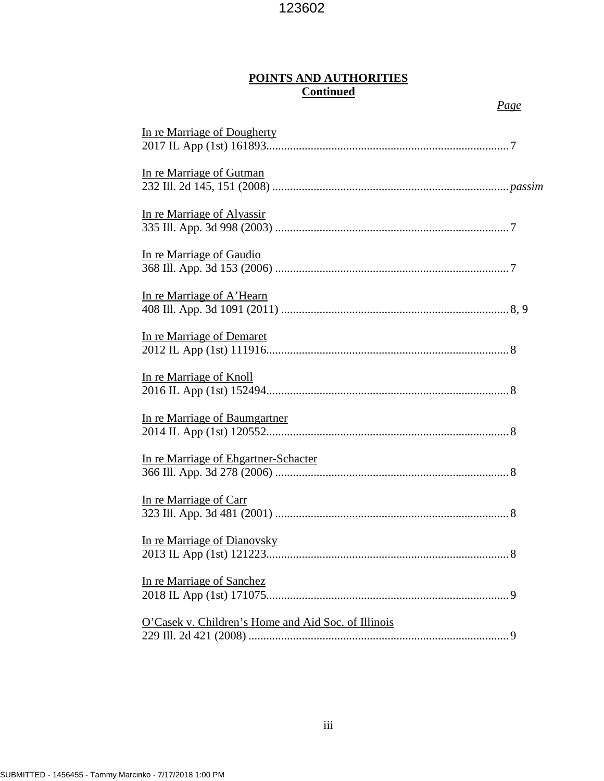## **POINTS AND AUTHORITIES Continued**

| In re Marriage of Dougherty                         |
|-----------------------------------------------------|
|                                                     |
| In re Marriage of Gutman                            |
| In re Marriage of Alyassir                          |
| In re Marriage of Gaudio                            |
| In re Marriage of A'Hearn                           |
| In re Marriage of Demaret                           |
| In re Marriage of Knoll                             |
| In re Marriage of Baumgartner                       |
| In re Marriage of Ehgartner-Schacter                |
| In re Marriage of Carr                              |
| In re Marriage of Dianovsky                         |
| In re Marriage of Sanchez                           |
| O'Casek v. Children's Home and Aid Soc. of Illinois |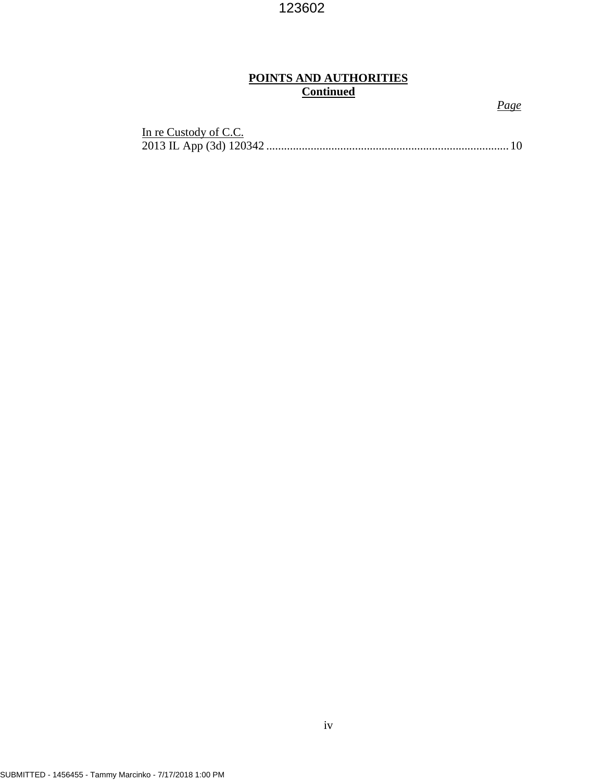# **POINTS AND AUTHORITIES Continued**

| In re Custody of C.C. |  |
|-----------------------|--|
|                       |  |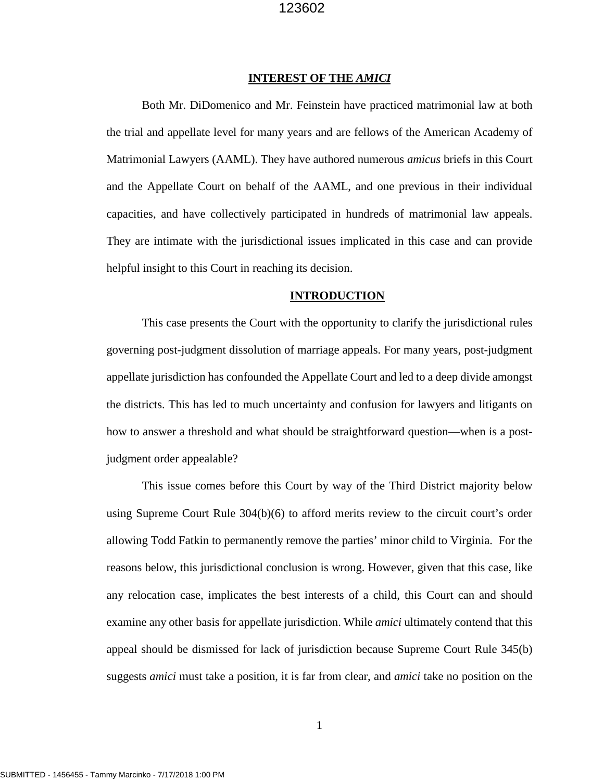#### **INTEREST OF THE** *AMICI*

Both Mr. DiDomenico and Mr. Feinstein have practiced matrimonial law at both the trial and appellate level for many years and are fellows of the American Academy of Matrimonial Lawyers (AAML). They have authored numerous *amicus* briefs in this Court and the Appellate Court on behalf of the AAML, and one previous in their individual capacities, and have collectively participated in hundreds of matrimonial law appeals. They are intimate with the jurisdictional issues implicated in this case and can provide helpful insight to this Court in reaching its decision.

#### **INTRODUCTION**

This case presents the Court with the opportunity to clarify the jurisdictional rules governing post-judgment dissolution of marriage appeals. For many years, post-judgment appellate jurisdiction has confounded the Appellate Court and led to a deep divide amongst the districts. This has led to much uncertainty and confusion for lawyers and litigants on how to answer a threshold and what should be straightforward question—when is a postjudgment order appealable?

This issue comes before this Court by way of the Third District majority below using Supreme Court Rule 304(b)(6) to afford merits review to the circuit court's order allowing Todd Fatkin to permanently remove the parties' minor child to Virginia. For the reasons below, this jurisdictional conclusion is wrong. However, given that this case, like any relocation case, implicates the best interests of a child, this Court can and should examine any other basis for appellate jurisdiction. While *amici* ultimately contend that this appeal should be dismissed for lack of jurisdiction because Supreme Court Rule 345(b) suggests *amici* must take a position, it is far from clear, and *amici* take no position on the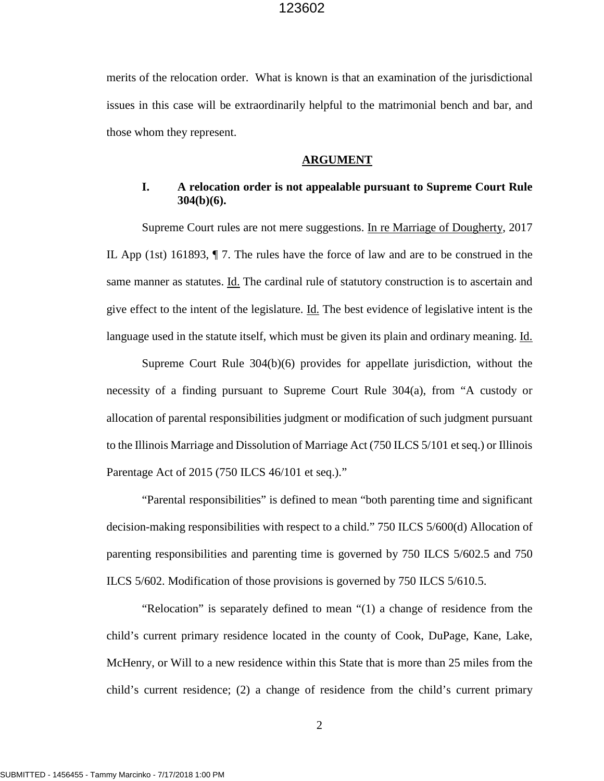merits of the relocation order. What is known is that an examination of the jurisdictional issues in this case will be extraordinarily helpful to the matrimonial bench and bar, and those whom they represent.

#### **ARGUMENT**

#### **I. A relocation order is not appealable pursuant to Supreme Court Rule 304(b)(6).**

Supreme Court rules are not mere suggestions. In re Marriage of Dougherty, 2017 IL App (1st) 161893, ¶ 7. The rules have the force of law and are to be construed in the same manner as statutes. Id. The cardinal rule of statutory construction is to ascertain and give effect to the intent of the legislature. Id. The best evidence of legislative intent is the language used in the statute itself, which must be given its plain and ordinary meaning. Id.

Supreme Court Rule 304(b)(6) provides for appellate jurisdiction, without the necessity of a finding pursuant to Supreme Court Rule 304(a), from "A custody or allocation of parental responsibilities judgment or modification of such judgment pursuant to the Illinois Marriage and Dissolution of Marriage Act (750 ILCS 5/101 et seq.) or Illinois Parentage Act of 2015 (750 ILCS 46/101 et seq.)."

"Parental responsibilities" is defined to mean "both parenting time and significant decision-making responsibilities with respect to a child." 750 ILCS 5/600(d) Allocation of parenting responsibilities and parenting time is governed by 750 ILCS 5/602.5 and 750 ILCS 5/602. Modification of those provisions is governed by 750 ILCS 5/610.5.

"Relocation" is separately defined to mean "(1) a change of residence from the child's current primary residence located in the county of Cook, DuPage, Kane, Lake, McHenry, or Will to a new residence within this State that is more than 25 miles from the child's current residence; (2) a change of residence from the child's current primary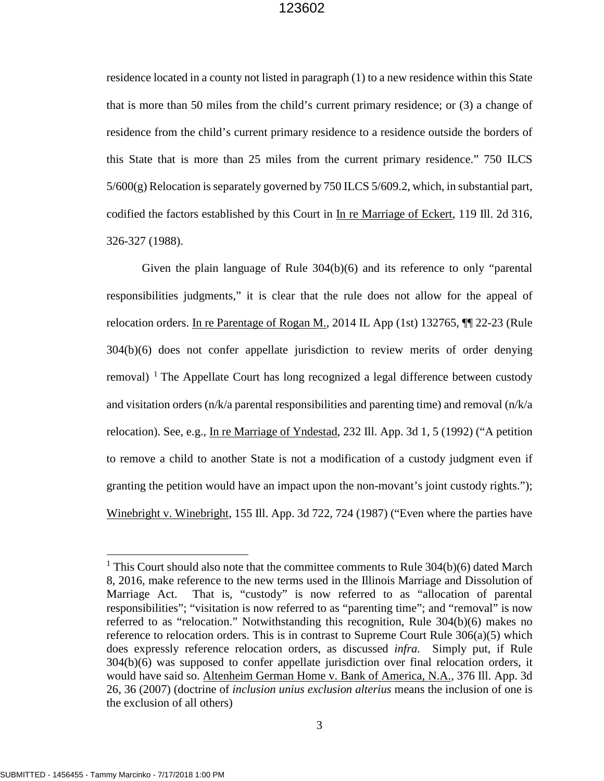residence located in a county not listed in paragraph (1) to a new residence within this State that is more than 50 miles from the child's current primary residence; or (3) a change of residence from the child's current primary residence to a residence outside the borders of this State that is more than 25 miles from the current primary residence." 750 ILCS 5/600(g) Relocation is separately governed by 750 ILCS 5/609.2, which, in substantial part, codified the factors established by this Court in In re Marriage of Eckert, 119 Ill. 2d 316, 326-327 (1988).

Given the plain language of Rule 304(b)(6) and its reference to only "parental responsibilities judgments," it is clear that the rule does not allow for the appeal of relocation orders. In re Parentage of Rogan M., 2014 IL App (1st) 132765,  $\P$  22-23 (Rule 304(b)(6) does not confer appellate jurisdiction to review merits of order denying removal)  $\frac{1}{1}$  $\frac{1}{1}$  $\frac{1}{1}$  The Appellate Court has long recognized a legal difference between custody and visitation orders (n/k/a parental responsibilities and parenting time) and removal (n/k/a relocation). See, e.g., In re Marriage of Yndestad, 232 Ill. App. 3d 1, 5 (1992) ("A petition to remove a child to another State is not a modification of a custody judgment even if granting the petition would have an impact upon the non-movant's joint custody rights."); Winebright v. Winebright, 155 Ill. App. 3d 722, 724 (1987) ("Even where the parties have

 $\overline{a}$ 

<span id="page-7-0"></span><sup>&</sup>lt;sup>1</sup> This Court should also note that the committee comments to Rule  $304(b)(6)$  dated March 8, 2016, make reference to the new terms used in the Illinois Marriage and Dissolution of Marriage Act. That is, "custody" is now referred to as "allocation of parental responsibilities"; "visitation is now referred to as "parenting time"; and "removal" is now referred to as "relocation." Notwithstanding this recognition, Rule 304(b)(6) makes no reference to relocation orders. This is in contrast to Supreme Court Rule 306(a)(5) which does expressly reference relocation orders, as discussed *infra.* Simply put, if Rule 304(b)(6) was supposed to confer appellate jurisdiction over final relocation orders, it would have said so. Altenheim German Home v. Bank of America, N.A., 376 Ill. App. 3d 26, 36 (2007) (doctrine of *inclusion unius exclusion alterius* means the inclusion of one is the exclusion of all others)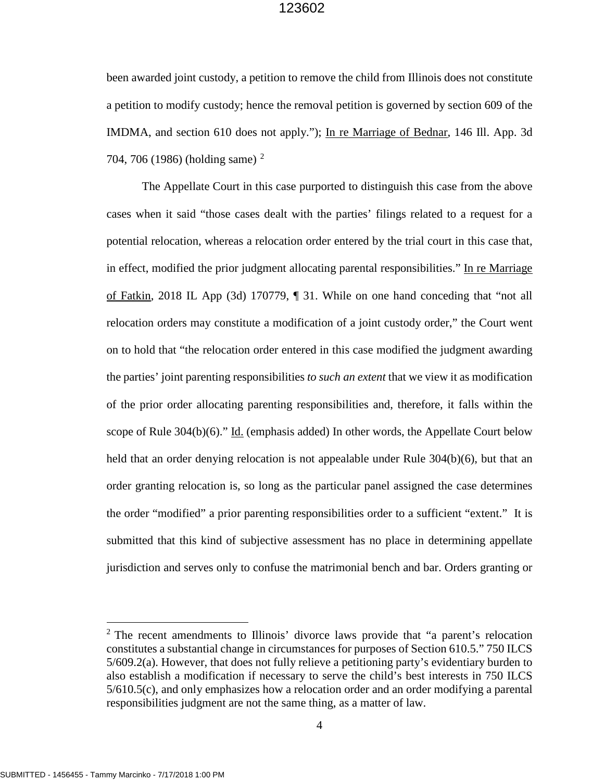been awarded joint custody, a petition to remove the child from Illinois does not constitute a petition to modify custody; hence the removal petition is governed by section 609 of the IMDMA, and section 610 does not apply."); In re Marriage of Bednar, 146 Ill. App. 3d 704, 706 (1986) (holding same)<sup>[2](#page-8-0)</sup>

The Appellate Court in this case purported to distinguish this case from the above cases when it said "those cases dealt with the parties' filings related to a request for a potential relocation, whereas a relocation order entered by the trial court in this case that, in effect, modified the prior judgment allocating parental responsibilities." In re Marriage of Fatkin, 2018 IL App (3d) 170779, ¶ 31. While on one hand conceding that "not all relocation orders may constitute a modification of a joint custody order," the Court went on to hold that "the relocation order entered in this case modified the judgment awarding the parties' joint parenting responsibilities *to such an extent* that we view it as modification of the prior order allocating parenting responsibilities and, therefore, it falls within the scope of Rule  $304(b)(6)$ ." Id. (emphasis added) In other words, the Appellate Court below held that an order denying relocation is not appealable under Rule 304(b)(6), but that an order granting relocation is, so long as the particular panel assigned the case determines the order "modified" a prior parenting responsibilities order to a sufficient "extent." It is submitted that this kind of subjective assessment has no place in determining appellate jurisdiction and serves only to confuse the matrimonial bench and bar. Orders granting or

 $\overline{a}$ 

<span id="page-8-0"></span><sup>&</sup>lt;sup>2</sup> The recent amendments to Illinois' divorce laws provide that "a parent's relocation constitutes a substantial change in circumstances for purposes of Section 610.5." 750 ILCS 5/609.2(a). However, that does not fully relieve a petitioning party's evidentiary burden to also establish a modification if necessary to serve the child's best interests in 750 ILCS 5/610.5(c), and only emphasizes how a relocation order and an order modifying a parental responsibilities judgment are not the same thing, as a matter of law.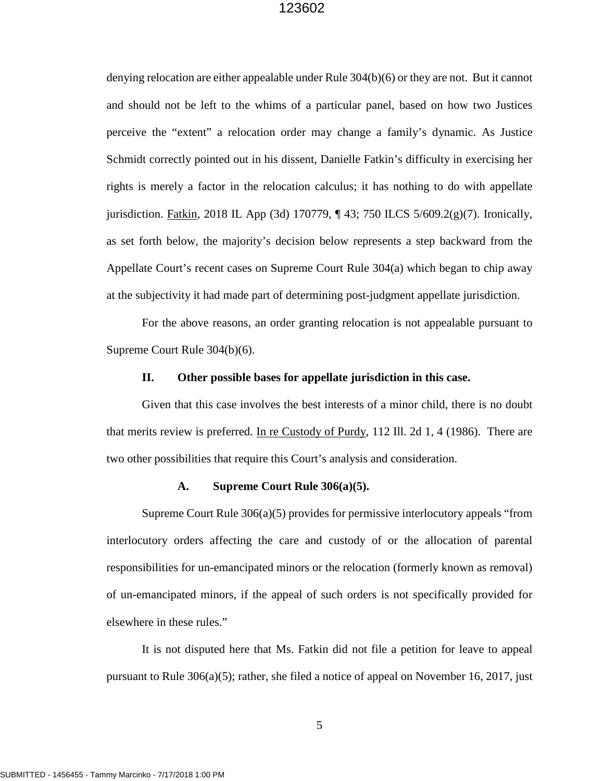denying relocation are either appealable under Rule 304(b)(6) or they are not. But it cannot and should not be left to the whims of a particular panel, based on how two Justices perceive the "extent" a relocation order may change a family's dynamic. As Justice Schmidt correctly pointed out in his dissent, Danielle Fatkin's difficulty in exercising her rights is merely a factor in the relocation calculus; it has nothing to do with appellate jurisdiction. Fatkin, 2018 IL App (3d) 170779, ¶ 43; 750 ILCS 5/609.2(g)(7). Ironically, as set forth below, the majority's decision below represents a step backward from the Appellate Court's recent cases on Supreme Court Rule 304(a) which began to chip away at the subjectivity it had made part of determining post-judgment appellate jurisdiction.

 For the above reasons, an order granting relocation is not appealable pursuant to Supreme Court Rule 304(b)(6).

#### **II. Other possible bases for appellate jurisdiction in this case.**

Given that this case involves the best interests of a minor child, there is no doubt that merits review is preferred. In re Custody of Purdy, 112 Ill. 2d 1, 4 (1986). There are two other possibilities that require this Court's analysis and consideration.

#### **A. Supreme Court Rule 306(a)(5).**

Supreme Court Rule 306(a)(5) provides for permissive interlocutory appeals "from interlocutory orders affecting the care and custody of or the allocation of parental responsibilities for un-emancipated minors or the relocation (formerly known as removal) of un-emancipated minors, if the appeal of such orders is not specifically provided for elsewhere in these rules."

It is not disputed here that Ms. Fatkin did not file a petition for leave to appeal pursuant to Rule 306(a)(5); rather, she filed a notice of appeal on November 16, 2017, just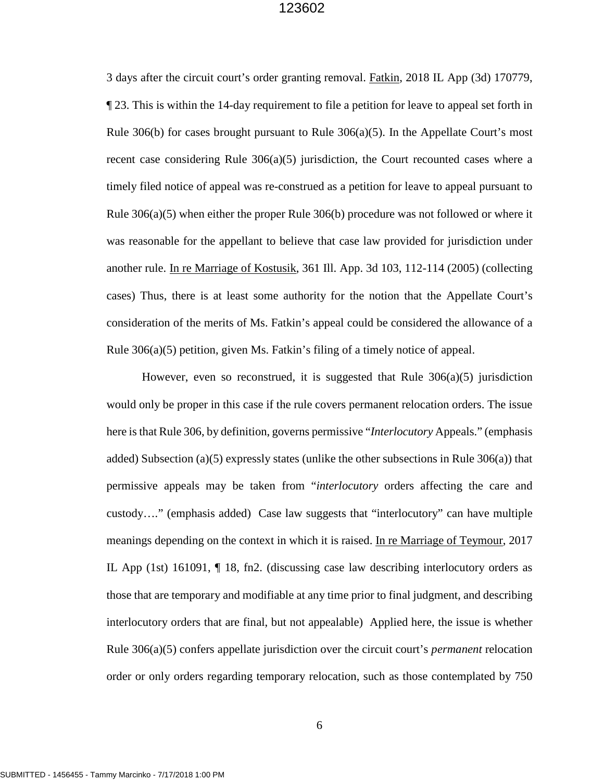3 days after the circuit court's order granting removal. Fatkin, 2018 IL App (3d) 170779, ¶ 23. This is within the 14-day requirement to file a petition for leave to appeal set forth in Rule 306(b) for cases brought pursuant to Rule  $306(a)(5)$ . In the Appellate Court's most recent case considering Rule  $306(a)(5)$  jurisdiction, the Court recounted cases where a timely filed notice of appeal was re-construed as a petition for leave to appeal pursuant to Rule 306(a)(5) when either the proper Rule 306(b) procedure was not followed or where it was reasonable for the appellant to believe that case law provided for jurisdiction under another rule. In re Marriage of Kostusik, 361 Ill. App. 3d 103, 112-114 (2005) (collecting cases) Thus, there is at least some authority for the notion that the Appellate Court's consideration of the merits of Ms. Fatkin's appeal could be considered the allowance of a Rule 306(a)(5) petition, given Ms. Fatkin's filing of a timely notice of appeal.

However, even so reconstrued, it is suggested that Rule  $306(a)(5)$  jurisdiction would only be proper in this case if the rule covers permanent relocation orders. The issue here is that Rule 306, by definition, governs permissive "*Interlocutory* Appeals." (emphasis added) Subsection (a)(5) expressly states (unlike the other subsections in Rule  $306(a)$ ) that permissive appeals may be taken from "*interlocutory* orders affecting the care and custody…." (emphasis added) Case law suggests that "interlocutory" can have multiple meanings depending on the context in which it is raised. In re Marriage of Teymour, 2017 IL App (1st) 161091, ¶ 18, fn2. (discussing case law describing interlocutory orders as those that are temporary and modifiable at any time prior to final judgment, and describing interlocutory orders that are final, but not appealable) Applied here, the issue is whether Rule 306(a)(5) confers appellate jurisdiction over the circuit court's *permanent* relocation order or only orders regarding temporary relocation, such as those contemplated by 750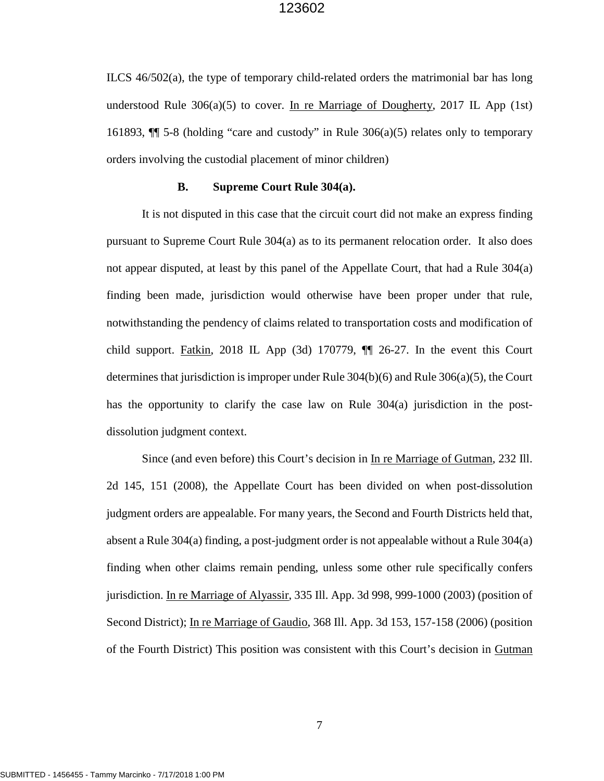ILCS 46/502(a), the type of temporary child-related orders the matrimonial bar has long understood Rule 306(a)(5) to cover. In re Marriage of Dougherty, 2017 IL App (1st) 161893,  $\P$  5-8 (holding "care and custody" in Rule 306(a)(5) relates only to temporary orders involving the custodial placement of minor children)

#### **B. Supreme Court Rule 304(a).**

It is not disputed in this case that the circuit court did not make an express finding pursuant to Supreme Court Rule 304(a) as to its permanent relocation order. It also does not appear disputed, at least by this panel of the Appellate Court, that had a Rule 304(a) finding been made, jurisdiction would otherwise have been proper under that rule, notwithstanding the pendency of claims related to transportation costs and modification of child support. Fatkin, 2018 IL App  $(3d)$  170779,  $\P$  26-27. In the event this Court determines that jurisdiction is improper under Rule 304(b)(6) and Rule 306(a)(5), the Court has the opportunity to clarify the case law on Rule 304(a) jurisdiction in the postdissolution judgment context.

 Since (and even before) this Court's decision in In re Marriage of Gutman, 232 Ill. 2d 145, 151 (2008), the Appellate Court has been divided on when post-dissolution judgment orders are appealable. For many years, the Second and Fourth Districts held that, absent a Rule 304(a) finding, a post-judgment order is not appealable without a Rule 304(a) finding when other claims remain pending, unless some other rule specifically confers jurisdiction. In re Marriage of Alyassir, 335 Ill. App. 3d 998, 999-1000 (2003) (position of Second District); In re Marriage of Gaudio, 368 Ill. App. 3d 153, 157-158 (2006) (position of the Fourth District) This position was consistent with this Court's decision in Gutman

7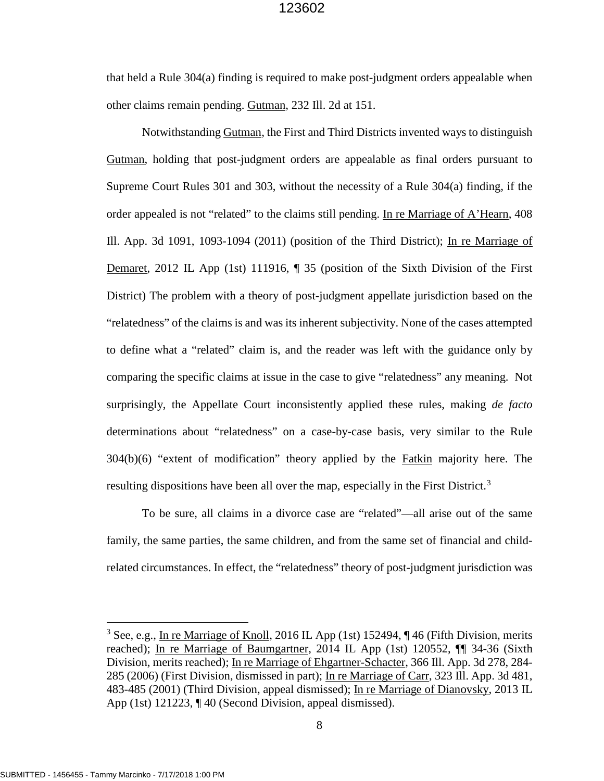that held a Rule 304(a) finding is required to make post-judgment orders appealable when other claims remain pending. Gutman, 232 Ill. 2d at 151.

Notwithstanding Gutman, the First and Third Districts invented ways to distinguish Gutman, holding that post-judgment orders are appealable as final orders pursuant to Supreme Court Rules 301 and 303, without the necessity of a Rule 304(a) finding, if the order appealed is not "related" to the claims still pending. In re Marriage of A'Hearn, 408 Ill. App. 3d 1091, 1093-1094 (2011) (position of the Third District); In re Marriage of Demaret, 2012 IL App (1st) 111916, ¶ 35 (position of the Sixth Division of the First District) The problem with a theory of post-judgment appellate jurisdiction based on the "relatedness" of the claims is and was its inherent subjectivity. None of the cases attempted to define what a "related" claim is, and the reader was left with the guidance only by comparing the specific claims at issue in the case to give "relatedness" any meaning. Not surprisingly, the Appellate Court inconsistently applied these rules, making *de facto* determinations about "relatedness" on a case-by-case basis, very similar to the Rule  $304(b)(6)$  "extent of modification" theory applied by the Fatkin majority here. The resulting dispositions have been all over the map, especially in the First District.<sup>[3](#page-12-0)</sup>

To be sure, all claims in a divorce case are "related"—all arise out of the same family, the same parties, the same children, and from the same set of financial and childrelated circumstances. In effect, the "relatedness" theory of post-judgment jurisdiction was

 $\overline{a}$ 

<span id="page-12-0"></span><sup>&</sup>lt;sup>3</sup> See, e.g., In re Marriage of Knoll, 2016 IL App (1st) 152494,  $\P$  46 (Fifth Division, merits reached); In re Marriage of Baumgartner, 2014 IL App (1st) 120552,  $\P\P$  34-36 (Sixth Division, merits reached); In re Marriage of Ehgartner-Schacter, 366 Ill. App. 3d 278, 284- 285 (2006) (First Division, dismissed in part); In re Marriage of Carr, 323 Ill. App. 3d 481, 483-485 (2001) (Third Division, appeal dismissed); In re Marriage of Dianovsky, 2013 IL App (1st) 121223, ¶ 40 (Second Division, appeal dismissed).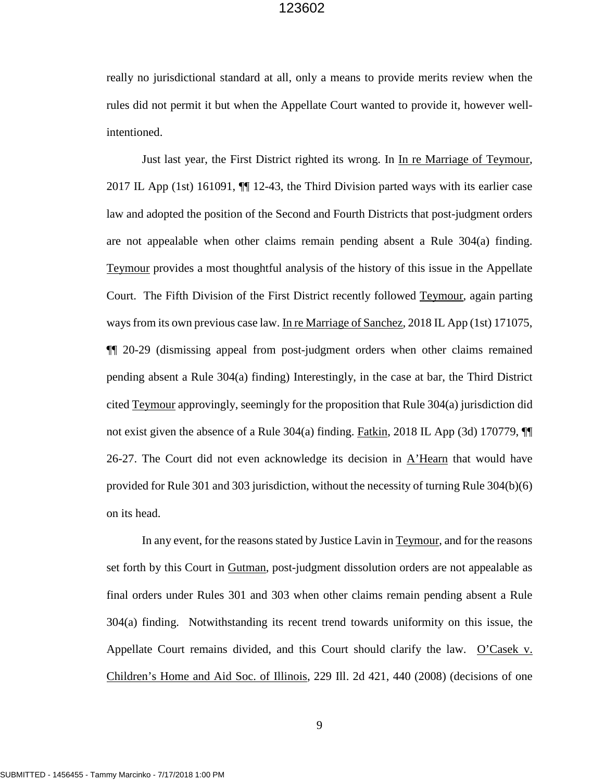really no jurisdictional standard at all, only a means to provide merits review when the rules did not permit it but when the Appellate Court wanted to provide it, however wellintentioned.

Just last year, the First District righted its wrong. In In re Marriage of Teymour, 2017 IL App (1st) 161091, ¶¶ 12-43, the Third Division parted ways with its earlier case law and adopted the position of the Second and Fourth Districts that post-judgment orders are not appealable when other claims remain pending absent a Rule 304(a) finding. Teymour provides a most thoughtful analysis of the history of this issue in the Appellate Court. The Fifth Division of the First District recently followed Teymour, again parting ways from its own previous case law. In re Marriage of Sanchez, 2018 IL App (1st) 171075, ¶¶ 20-29 (dismissing appeal from post-judgment orders when other claims remained pending absent a Rule 304(a) finding) Interestingly, in the case at bar, the Third District cited Teymour approvingly, seemingly for the proposition that Rule 304(a) jurisdiction did not exist given the absence of a Rule 304(a) finding. Fatkin, 2018 IL App (3d) 170779, 26-27. The Court did not even acknowledge its decision in  $A'$ Hearn that would have provided for Rule 301 and 303 jurisdiction, without the necessity of turning Rule 304(b)(6) on its head.

In any event, for the reasons stated by Justice Lavin in Teymour, and for the reasons set forth by this Court in Gutman, post-judgment dissolution orders are not appealable as final orders under Rules 301 and 303 when other claims remain pending absent a Rule 304(a) finding. Notwithstanding its recent trend towards uniformity on this issue, the Appellate Court remains divided, and this Court should clarify the law. O'Casek v. Children's Home and Aid Soc. of Illinois, 229 Ill. 2d 421, 440 (2008) (decisions of one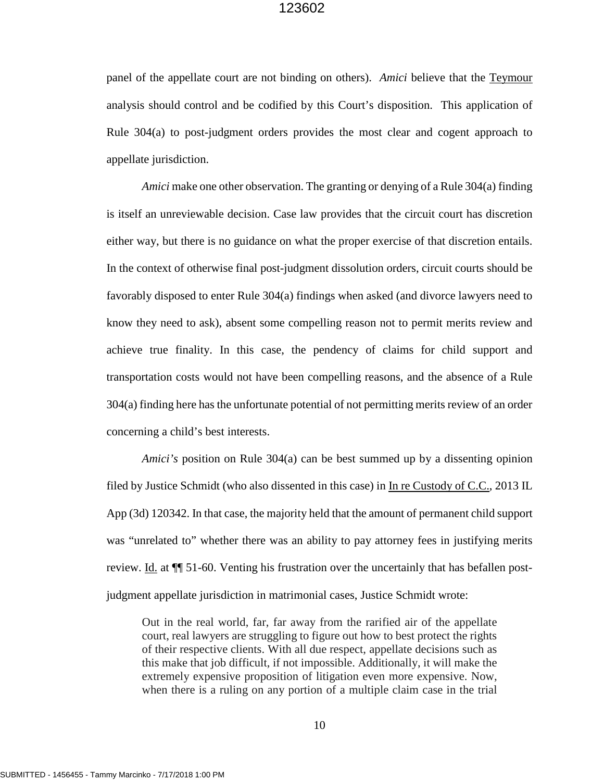panel of the appellate court are not binding on others). *Amici* believe that the Teymour analysis should control and be codified by this Court's disposition. This application of Rule 304(a) to post-judgment orders provides the most clear and cogent approach to appellate jurisdiction.

*Amici* make one other observation. The granting or denying of a Rule 304(a) finding is itself an unreviewable decision. Case law provides that the circuit court has discretion either way, but there is no guidance on what the proper exercise of that discretion entails. In the context of otherwise final post-judgment dissolution orders, circuit courts should be favorably disposed to enter Rule 304(a) findings when asked (and divorce lawyers need to know they need to ask), absent some compelling reason not to permit merits review and achieve true finality. In this case, the pendency of claims for child support and transportation costs would not have been compelling reasons, and the absence of a Rule 304(a) finding here has the unfortunate potential of not permitting merits review of an order concerning a child's best interests.

*Amici's* position on Rule 304(a) can be best summed up by a dissenting opinion filed by Justice Schmidt (who also dissented in this case) in In re Custody of C.C., 2013 IL App (3d) 120342. In that case, the majority held that the amount of permanent child support was "unrelated to" whether there was an ability to pay attorney fees in justifying merits review. Id. at  $\P$  51-60. Venting his frustration over the uncertainly that has befallen postjudgment appellate jurisdiction in matrimonial cases, Justice Schmidt wrote:

Out in the real world, far, far away from the rarified air of the appellate court, real lawyers are struggling to figure out how to best protect the rights of their respective clients. With all due respect, appellate decisions such as this make that job difficult, if not impossible. Additionally, it will make the extremely expensive proposition of litigation even more expensive. Now, when there is a ruling on any portion of a multiple claim case in the trial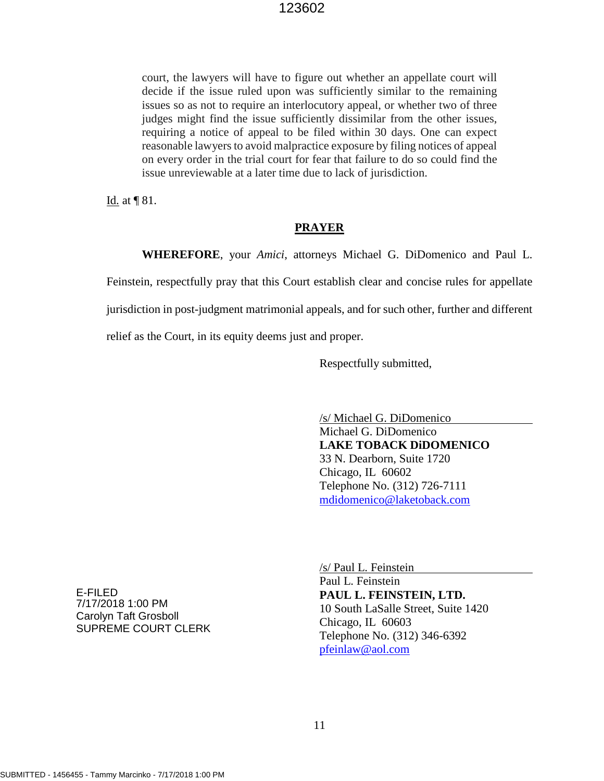court, the lawyers will have to figure out whether an appellate court will decide if the issue ruled upon was sufficiently similar to the remaining issues so as not to require an interlocutory appeal, or whether two of three judges might find the issue sufficiently dissimilar from the other issues, requiring a notice of appeal to be filed within 30 days. One can expect reasonable lawyers to avoid malpractice exposure by filing notices of appeal on every order in the trial court for fear that failure to do so could find the issue unreviewable at a later time due to lack of jurisdiction.

Id. at ¶ 81.

#### **PRAYER**

**WHEREFORE**, your *Amici*, attorneys Michael G. DiDomenico and Paul L.

Feinstein, respectfully pray that this Court establish clear and concise rules for appellate

jurisdiction in post-judgment matrimonial appeals, and for such other, further and different

relief as the Court, in its equity deems just and proper.

Respectfully submitted,

 /s/ Michael G. DiDomenico Michael G. DiDomenico **LAKE TOBACK DiDOMENICO** 33 N. Dearborn, Suite 1720 Chicago, IL 60602 Telephone No. (312) 726-7111 [mdidomenico@laketoback.com](mailto:mdidomenico@laketoback.com)

E-FILED 7/17/2018 1:00 PM Carolyn Taft Grosboll SUPREME COURT CLERK  /s/ Paul L. Feinstein Paul L. Feinstein **PAUL L. FEINSTEIN, LTD.** 10 South LaSalle Street, Suite 1420 Chicago, IL 60603 Telephone No. (312) 346-6392 [pfeinlaw@aol.com](mailto:pfeinlaw@aol.com)